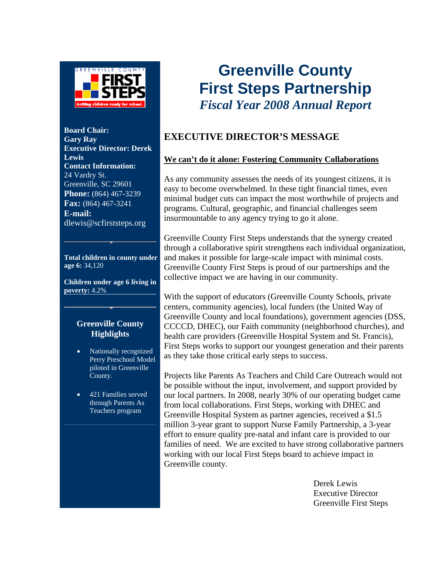

**Board Chair: Gary Ray Executive Director: Derek Lewis Contact Information:**  24 Vardry St. Greenville, SC 29601 **Phone:** (864) 467-3239 **Fax:** (864) 467-3241 **E-mail:**  dlewis@scfirststeps.org

**Total children in county under age 6:** 34,120

**Children under age 6 living in poverty:** 4.2%

#### **Greenville County Highlights**

- Nationally recognized Perry Preschool Model piloted in Greenville County.
- 421 Families served through Parents As Teachers program

## **Greenville County First Steps Partnership**  *Fiscal Year 2008 Annual Report*

#### **EXECUTIVE DIRECTOR'S MESSAGE**

#### **We can't do it alone: Fostering Community Collaborations**

As any community assesses the needs of its youngest citizens, it is easy to become overwhelmed. In these tight financial times, even minimal budget cuts can impact the most worthwhile of projects and programs. Cultural, geographic, and financial challenges seem insurmountable to any agency trying to go it alone.

Greenville County First Steps understands that the synergy created through a collaborative spirit strengthens each individual organization, and makes it possible for large-scale impact with minimal costs. Greenville County First Steps is proud of our partnerships and the collective impact we are having in our community.

With the support of educators (Greenville County Schools, private centers, community agencies), local funders (the United Way of Greenville County and local foundations), government agencies (DSS, CCCCD, DHEC), our Faith community (neighborhood churches), and health care providers (Greenville Hospital System and St. Francis), First Steps works to support our youngest generation and their parents as they take those critical early steps to success.

Projects like Parents As Teachers and Child Care Outreach would not be possible without the input, involvement, and support provided by our local partners. In 2008, nearly 30% of our operating budget came from local collaborations. First Steps, working with DHEC and Greenville Hospital System as partner agencies, received a \$1.5 million 3-year grant to support Nurse Family Partnership, a 3-year effort to ensure quality pre-natal and infant care is provided to our families of need. We are excited to have strong collaborative partners working with our local First Steps board to achieve impact in Greenville county.

> Derek Lewis Executive Director Greenville First Steps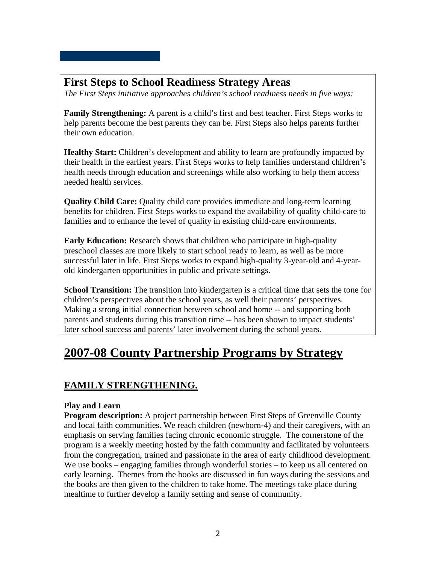#### **First Steps to School Readiness Strategy Areas**

*The First Steps initiative approaches children's school readiness needs in five ways:* 

**Family Strengthening:** A parent is a child's first and best teacher. First Steps works to help parents become the best parents they can be. First Steps also helps parents further their own education.

**Healthy Start:** Children's development and ability to learn are profoundly impacted by their health in the earliest years. First Steps works to help families understand children's health needs through education and screenings while also working to help them access needed health services.

**Quality Child Care:** Quality child care provides immediate and long-term learning benefits for children. First Steps works to expand the availability of quality child-care to families and to enhance the level of quality in existing child-care environments.

**Early Education:** Research shows that children who participate in high-quality preschool classes are more likely to start school ready to learn, as well as be more successful later in life. First Steps works to expand high-quality 3-year-old and 4-yearold kindergarten opportunities in public and private settings.

**School Transition:** The transition into kindergarten is a critical time that sets the tone for children's perspectives about the school years, as well their parents' perspectives. Making a strong initial connection between school and home -- and supporting both parents and students during this transition time -- has been shown to impact students' later school success and parents' later involvement during the school years.

## **2007-08 County Partnership Programs by Strategy**

#### **FAMILY STRENGTHENING.**

#### **Play and Learn**

**Program description:** A project partnership between First Steps of Greenville County and local faith communities. We reach children (newborn-4) and their caregivers, with an emphasis on serving families facing chronic economic struggle. The cornerstone of the program is a weekly meeting hosted by the faith community and facilitated by volunteers from the congregation, trained and passionate in the area of early childhood development. We use books – engaging families through wonderful stories – to keep us all centered on early learning. Themes from the books are discussed in fun ways during the sessions and the books are then given to the children to take home. The meetings take place during mealtime to further develop a family setting and sense of community.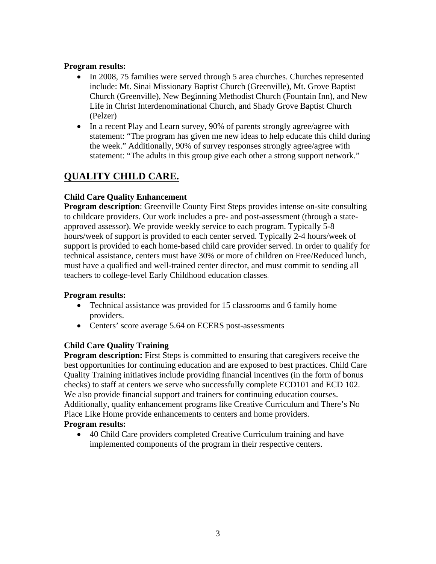#### **Program results:**

- In 2008, 75 families were served through 5 area churches. Churches represented include: Mt. Sinai Missionary Baptist Church (Greenville), Mt. Grove Baptist Church (Greenville), New Beginning Methodist Church (Fountain Inn), and New Life in Christ Interdenominational Church, and Shady Grove Baptist Church (Pelzer)
- In a recent Play and Learn survey, 90% of parents strongly agree/agree with statement: "The program has given me new ideas to help educate this child during the week." Additionally, 90% of survey responses strongly agree/agree with statement: "The adults in this group give each other a strong support network."

#### **QUALITY CHILD CARE.**

#### **Child Care Quality Enhancement**

**Program description**: Greenville County First Steps provides intense on-site consulting to childcare providers. Our work includes a pre- and post-assessment (through a stateapproved assessor). We provide weekly service to each program. Typically 5-8 hours/week of support is provided to each center served. Typically 2-4 hours/week of support is provided to each home-based child care provider served. In order to qualify for technical assistance, centers must have 30% or more of children on Free/Reduced lunch, must have a qualified and well-trained center director, and must commit to sending all teachers to college-level Early Childhood education classes.

#### **Program results:**

- Technical assistance was provided for 15 classrooms and 6 family home providers.
- Centers' score average 5.64 on ECERS post-assessments

#### **Child Care Quality Training**

**Program description:** First Steps is committed to ensuring that caregivers receive the best opportunities for continuing education and are exposed to best practices. Child Care Quality Training initiatives include providing financial incentives (in the form of bonus checks) to staff at centers we serve who successfully complete ECD101 and ECD 102. We also provide financial support and trainers for continuing education courses. Additionally, quality enhancement programs like Creative Curriculum and There's No Place Like Home provide enhancements to centers and home providers. **Program results:** 

• 40 Child Care providers completed Creative Curriculum training and have implemented components of the program in their respective centers.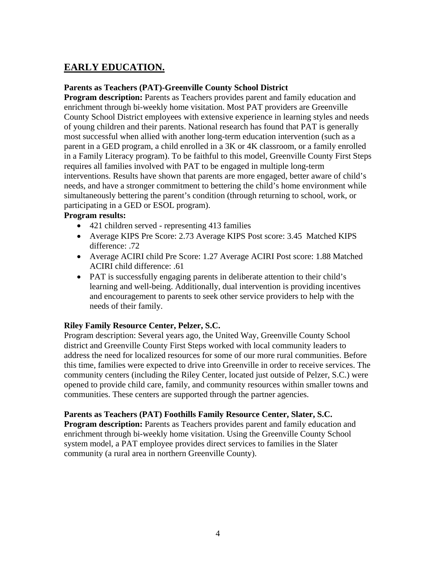#### **EARLY EDUCATION.**

#### **Parents as Teachers (PAT)-Greenville County School District**

**Program description:** Parents as Teachers provides parent and family education and enrichment through bi-weekly home visitation. Most PAT providers are Greenville County School District employees with extensive experience in learning styles and needs of young children and their parents. National research has found that PAT is generally most successful when allied with another long-term education intervention (such as a parent in a GED program, a child enrolled in a 3K or 4K classroom, or a family enrolled in a Family Literacy program). To be faithful to this model, Greenville County First Steps requires all families involved with PAT to be engaged in multiple long-term interventions. Results have shown that parents are more engaged, better aware of child's needs, and have a stronger commitment to bettering the child's home environment while simultaneously bettering the parent's condition (through returning to school, work, or participating in a GED or ESOL program).

#### **Program results:**

- 421 children served representing 413 families
- Average KIPS Pre Score: 2.73 Average KIPS Post score: 3.45 Matched KIPS difference: .72
- Average ACIRI child Pre Score: 1.27 Average ACIRI Post score: 1.88 Matched ACIRI child difference: .61
- PAT is successfully engaging parents in deliberate attention to their child's learning and well-being. Additionally, dual intervention is providing incentives and encouragement to parents to seek other service providers to help with the needs of their family.

#### **Riley Family Resource Center, Pelzer, S.C.**

Program description: Several years ago, the United Way, Greenville County School district and Greenville County First Steps worked with local community leaders to address the need for localized resources for some of our more rural communities. Before this time, families were expected to drive into Greenville in order to receive services. The community centers (including the Riley Center, located just outside of Pelzer, S.C.) were opened to provide child care, family, and community resources within smaller towns and communities. These centers are supported through the partner agencies.

#### **Parents as Teachers (PAT) Foothills Family Resource Center, Slater, S.C.**

**Program description:** Parents as Teachers provides parent and family education and enrichment through bi-weekly home visitation. Using the Greenville County School system model, a PAT employee provides direct services to families in the Slater community (a rural area in northern Greenville County).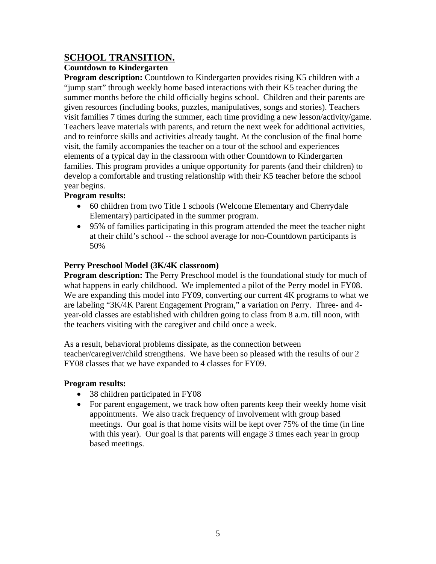#### **SCHOOL TRANSITION.**

#### **Countdown to Kindergarten**

**Program description:** Countdown to Kindergarten provides rising K5 children with a "jump start" through weekly home based interactions with their K5 teacher during the summer months before the child officially begins school. Children and their parents are given resources (including books, puzzles, manipulatives, songs and stories). Teachers visit families 7 times during the summer, each time providing a new lesson/activity/game. Teachers leave materials with parents, and return the next week for additional activities, and to reinforce skills and activities already taught. At the conclusion of the final home visit, the family accompanies the teacher on a tour of the school and experiences elements of a typical day in the classroom with other Countdown to Kindergarten families. This program provides a unique opportunity for parents (and their children) to develop a comfortable and trusting relationship with their K5 teacher before the school year begins.

#### **Program results:**

- 60 children from two Title 1 schools (Welcome Elementary and Cherrydale Elementary) participated in the summer program.
- 95% of families participating in this program attended the meet the teacher night at their child's school -- the school average for non-Countdown participants is 50%

#### **Perry Preschool Model (3K/4K classroom)**

**Program description:** The Perry Preschool model is the foundational study for much of what happens in early childhood. We implemented a pilot of the Perry model in FY08. We are expanding this model into FY09, converting our current 4K programs to what we are labeling "3K/4K Parent Engagement Program," a variation on Perry. Three- and 4 year-old classes are established with children going to class from 8 a.m. till noon, with the teachers visiting with the caregiver and child once a week.

As a result, behavioral problems dissipate, as the connection between teacher/caregiver/child strengthens. We have been so pleased with the results of our 2 FY08 classes that we have expanded to 4 classes for FY09.

#### **Program results:**

- 38 children participated in FY08
- For parent engagement, we track how often parents keep their weekly home visit appointments. We also track frequency of involvement with group based meetings. Our goal is that home visits will be kept over 75% of the time (in line with this year). Our goal is that parents will engage 3 times each year in group based meetings.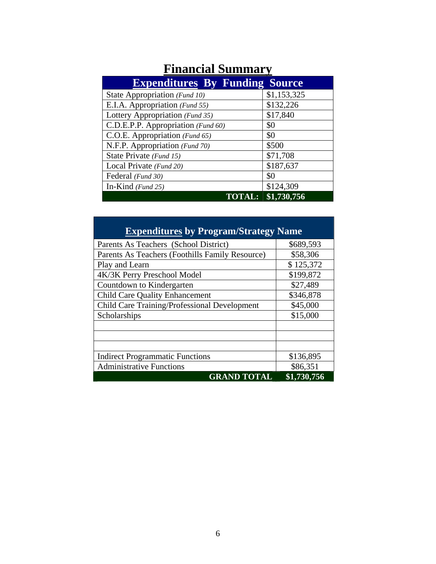| <b>Expenditures By Funding Source</b> |             |
|---------------------------------------|-------------|
| State Appropriation (Fund 10)         | \$1,153,325 |
| E.I.A. Appropriation (Fund 55)        | \$132,226   |
| Lottery Appropriation (Fund 35)       | \$17,840    |
| C.D.E.P.P. Appropriation (Fund 60)    | \$0         |
| C.O.E. Appropriation (Fund 65)        | \$0         |
| N.F.P. Appropriation (Fund 70)        | \$500       |
| State Private (Fund 15)               | \$71,708    |
| Local Private (Fund 20)               | \$187,637   |
| Federal (Fund 30)                     | \$0         |
| In-Kind $(Fund 25)$                   | \$124,309   |
| <b>TOTAL:</b>                         | \$1,730,756 |

### **Financial Summary**

| <b>Expenditures by Program/Strategy Name</b>    |             |  |
|-------------------------------------------------|-------------|--|
| Parents As Teachers (School District)           | \$689,593   |  |
| Parents As Teachers (Foothills Family Resource) | \$58,306    |  |
| Play and Learn                                  | \$125,372   |  |
| 4K/3K Perry Preschool Model                     | \$199,872   |  |
| Countdown to Kindergarten                       | \$27,489    |  |
| <b>Child Care Quality Enhancement</b>           | \$346,878   |  |
| Child Care Training/Professional Development    | \$45,000    |  |
| Scholarships                                    | \$15,000    |  |
|                                                 |             |  |
|                                                 |             |  |
|                                                 |             |  |
| <b>Indirect Programmatic Functions</b>          | \$136,895   |  |
| <b>Administrative Functions</b>                 | \$86,351    |  |
| <b>GRAND TOTAL</b>                              | \$1,730,756 |  |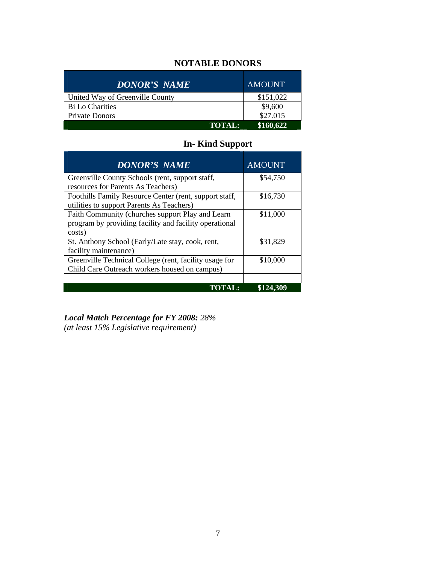#### **NOTABLE DONORS**

| <b>DONOR'S NAME</b>             | <b>AMOUNT</b> |
|---------------------------------|---------------|
| United Way of Greenville County | \$151,022     |
| Bi Lo Charities                 | \$9,600       |
| Private Donors                  | \$27.015      |
| <b>TOTAL:</b>                   | \$160,622     |

#### **In- Kind Support**

| <b>DONOR'S NAME</b>                                                                                                  | <b>AMOUNT</b> |
|----------------------------------------------------------------------------------------------------------------------|---------------|
| Greenville County Schools (rent, support staff,<br>resources for Parents As Teachers)                                | \$54,750      |
| Foothills Family Resource Center (rent, support staff,<br>utilities to support Parents As Teachers)                  | \$16,730      |
| Faith Community (churches support Play and Learn<br>program by providing facility and facility operational<br>costs) | \$11,000      |
| St. Anthony School (Early/Late stay, cook, rent,<br>facility maintenance)                                            | \$31,829      |
| Greenville Technical College (rent, facility usage for<br>Child Care Outreach workers housed on campus)              | \$10,000      |
| TOTALE                                                                                                               | \$124.        |

*Local Match Percentage for FY 2008: 28% (at least 15% Legislative requirement)*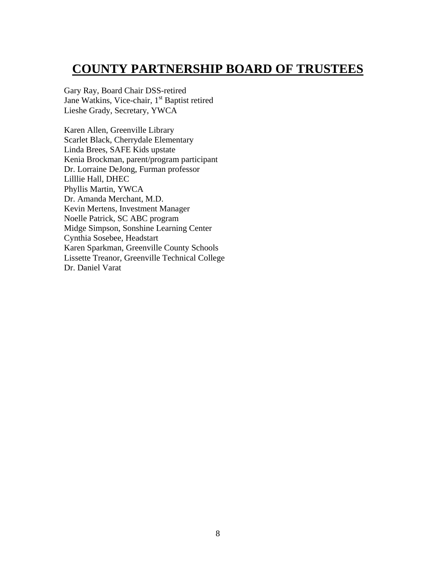### **COUNTY PARTNERSHIP BOARD OF TRUSTEES**

Gary Ray, Board Chair DSS-retired Jane Watkins, Vice-chair, 1<sup>st</sup> Baptist retired Lieshe Grady, Secretary, YWCA

Karen Allen, Greenville Library Scarlet Black, Cherrydale Elementary Linda Brees, SAFE Kids upstate Kenia Brockman, parent/program participant Dr. Lorraine DeJong, Furman professor Lilllie Hall, DHEC Phyllis Martin, YWCA Dr. Amanda Merchant, M.D. Kevin Mertens, Investment Manager Noelle Patrick, SC ABC program Midge Simpson, Sonshine Learning Center Cynthia Sosebee, Headstart Karen Sparkman, Greenville County Schools Lissette Treanor, Greenville Technical College Dr. Daniel Varat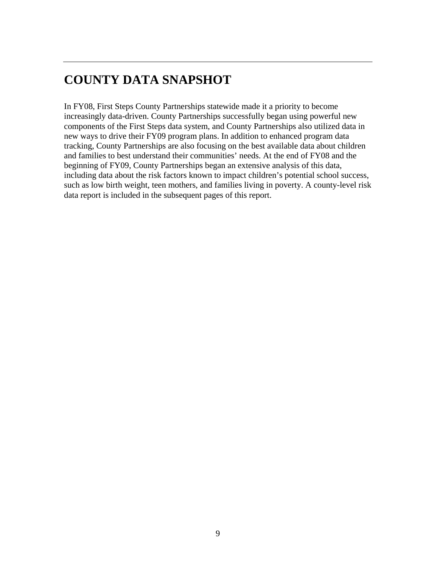### **COUNTY DATA SNAPSHOT**

In FY08, First Steps County Partnerships statewide made it a priority to become increasingly data-driven. County Partnerships successfully began using powerful new components of the First Steps data system, and County Partnerships also utilized data in new ways to drive their FY09 program plans. In addition to enhanced program data tracking, County Partnerships are also focusing on the best available data about children and families to best understand their communities' needs. At the end of FY08 and the beginning of FY09, County Partnerships began an extensive analysis of this data, including data about the risk factors known to impact children's potential school success, such as low birth weight, teen mothers, and families living in poverty. A county-level risk data report is included in the subsequent pages of this report.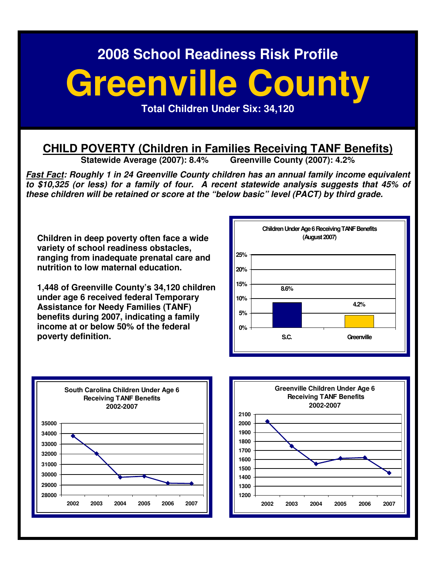# **Greenville County**

**Total Children Under Six: 34,120** 

# **CHILD POVERTY (Children in Families Receiving TANF Benefits)**<br>Statewide Average (2007): 8.4% Greenville County (2007): 4.2%

Statewide Average (2007): 8.4%

**Fast Fact: Roughly 1 in 24 Greenville County children has an annual family income equivalent to \$10,325 (or less) for a family of four. A recent statewide analysis suggests that 45% of these children will be retained or score at the "below basic" level (PACT) by third grade.** 

**Children in deep poverty often face a wide variety of school readiness obstacles, ranging from inadequate prenatal care and nutrition to low maternal education.** 

**1,448 of Greenville County's 34,120 children under age 6 received federal Temporary Assistance for Needy Families (TANF) benefits during 2007, indicating a family income at or below 50% of the federal poverty definition.** 





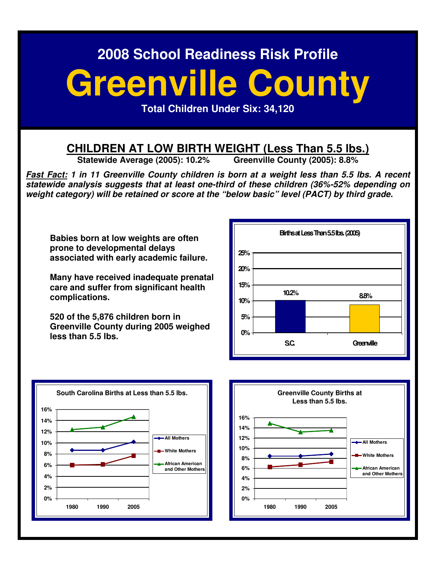# **Greenville County**

**Total Children Under Six: 34,120** 

# **CHILDREN AT LOW BIRTH WEIGHT (Less Than 5.5 lbs.)**<br>Statewide Average (2005): 10.2% Greenville County (2005): 8.8%

**Statewide Average (2005): 10.2%** 

**Fast Fact: 1 in 11 Greenville County children is born at a weight less than 5.5 lbs. A recent statewide analysis suggests that at least one-third of these children (36%-52% depending on weight category) will be retained or score at the "below basic" level (PACT) by third grade.** 

**Babies born at low weights are often prone to developmental delays associated with early academic failure.** 

**Many have received inadequate prenatal care and suffer from significant health complications.** 

**520 of the 5,876 children born in Greenville County during 2005 weighed less than 5.5 lbs.** 





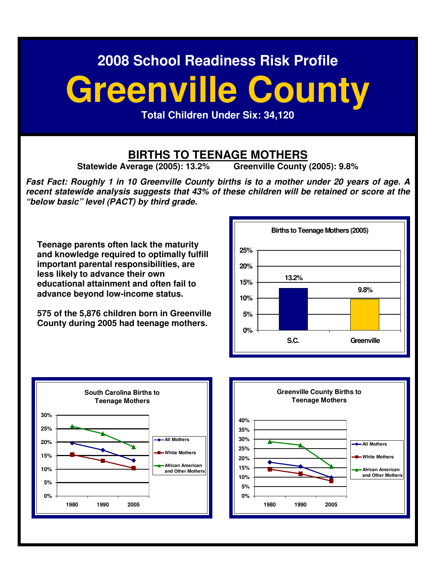# **Greenville County**

**Total Children Under Six: 34,120** 

## **BIRTHS TO TEENAGE MOTHERS**<br>Verage (2005): 13.2% Greenville County (2005): 9.8%

**Statewide Average (2005): 13.2%** 

**Fast Fact: Roughly 1 in 10 Greenville County births is to a mother under 20 years of age. A recent statewide analysis suggests that 43% of these children will be retained or score at the "below basic" level (PACT) by third grade.** 

**Teenage parents often lack the maturity and knowledge required to optimally fulfill important parental responsibilities, are less likely to advance their own educational attainment and often fail to advance beyond low-income status.** 

**575 of the 5,876 children born in Greenville County during 2005 had teenage mothers.**